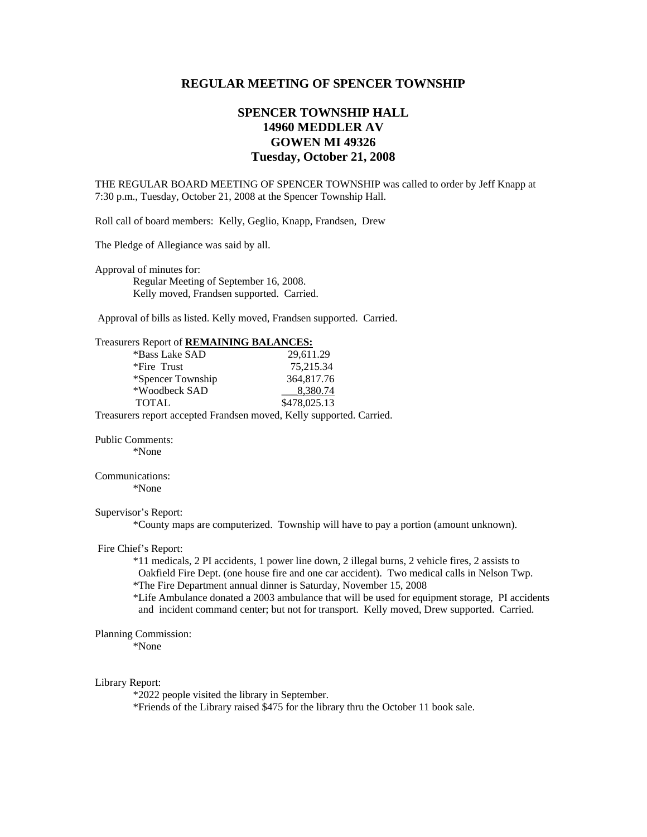## **REGULAR MEETING OF SPENCER TOWNSHIP**

# **SPENCER TOWNSHIP HALL 14960 MEDDLER AV GOWEN MI 49326 Tuesday, October 21, 2008**

THE REGULAR BOARD MEETING OF SPENCER TOWNSHIP was called to order by Jeff Knapp at 7:30 p.m., Tuesday, October 21, 2008 at the Spencer Township Hall.

Roll call of board members: Kelly, Geglio, Knapp, Frandsen, Drew

The Pledge of Allegiance was said by all.

Approval of minutes for: Regular Meeting of September 16, 2008. Kelly moved, Frandsen supported. Carried.

Approval of bills as listed. Kelly moved, Frandsen supported. Carried.

| Treasurers Report of <b>REMAINING BALANCES:</b> |  |  |
|-------------------------------------------------|--|--|
|-------------------------------------------------|--|--|

| *Bass Lake SAD    | 29.611.29                                                            |
|-------------------|----------------------------------------------------------------------|
| *Fire Trust       | 75.215.34                                                            |
| *Spencer Township | 364,817.76                                                           |
| *Woodbeck SAD     | 8,380.74                                                             |
| <b>TOTAL</b>      | \$478,025.13                                                         |
|                   | Treasurers report accepted Frandsen moved, Kelly supported. Carried. |

Public Comments: \*None

# Communications:

\*None

### Supervisor's Report:

\*County maps are computerized. Township will have to pay a portion (amount unknown).

#### Fire Chief's Report:

 \*11 medicals, 2 PI accidents, 1 power line down, 2 illegal burns, 2 vehicle fires, 2 assists to Oakfield Fire Dept. (one house fire and one car accident). Two medical calls in Nelson Twp.

\*The Fire Department annual dinner is Saturday, November 15, 2008

 \*Life Ambulance donated a 2003 ambulance that will be used for equipment storage, PI accidents and incident command center; but not for transport. Kelly moved, Drew supported. Carried.

#### Planning Commission:

\*None

#### Library Report:

\*2022 people visited the library in September.

\*Friends of the Library raised \$475 for the library thru the October 11 book sale.